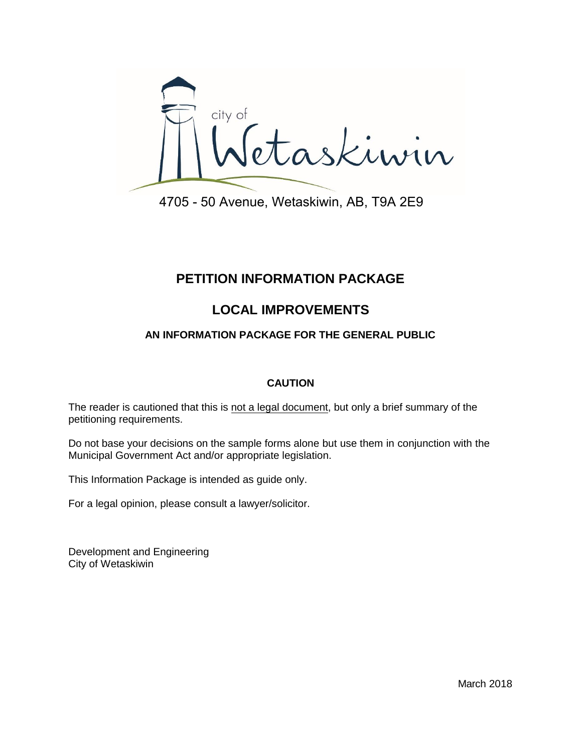

# **PETITION INFORMATION PACKAGE**

# **LOCAL IMPROVEMENTS**

# **AN INFORMATION PACKAGE FOR THE GENERAL PUBLIC**

# **CAUTION**

The reader is cautioned that this is not a legal document, but only a brief summary of the petitioning requirements.

Do not base your decisions on the sample forms alone but use them in conjunction with the Municipal Government Act and/or appropriate legislation.

This Information Package is intended as guide only.

For a legal opinion, please consult a lawyer/solicitor.

Development and Engineering City of Wetaskiwin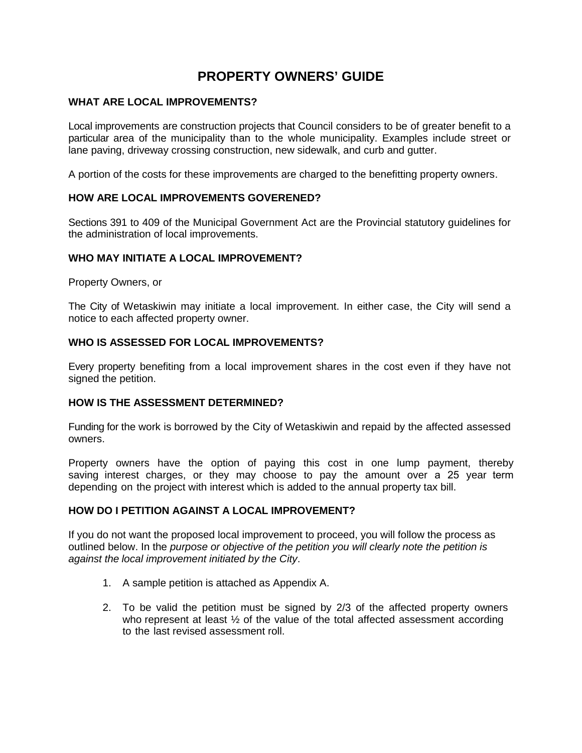# **PROPERTY OWNERS' GUIDE**

# **WHAT ARE LOCAL IMPROVEMENTS?**

Local improvements are construction projects that Council considers to be of greater benefit to a particular area of the municipality than to the whole municipality. Examples include street or lane paving, driveway crossing construction, new sidewalk, and curb and gutter.

A portion of the costs for these improvements are charged to the benefitting property owners.

# **HOW ARE LOCAL IMPROVEMENTS GOVERENED?**

Sections 391 to 409 of the Municipal Government Act are the Provincial statutory guidelines for the administration of local improvements.

# **WHO MAY INITIATE A LOCAL IMPROVEMENT?**

Property Owners, or

The City of Wetaskiwin may initiate a local improvement. In either case, the City will send a notice to each affected property owner.

#### **WHO IS ASSESSED FOR LOCAL IMPROVEMENTS?**

Every property benefiting from a local improvement shares in the cost even if they have not signed the petition.

# **HOW IS THE ASSESSMENT DETERMINED?**

Funding for the work is borrowed by the City of Wetaskiwin and repaid by the affected assessed owners.

Property owners have the option of paying this cost in one lump payment, thereby saving interest charges, or they may choose to pay the amount over a 25 year term depending on the project with interest which is added to the annual property tax bill.

#### **HOW DO I PETITION AGAINST A LOCAL IMPROVEMENT?**

If you do not want the proposed local improvement to proceed, you will follow the process as outlined below. In the *purpose or objective of the petition you will clearly note the petition is against the local improvement initiated by the City*.

- 1. A sample petition is attached as Appendix A.
- 2. To be valid the petition must be signed by 2/3 of the affected property owners who represent at least  $\frac{1}{2}$  of the value of the total affected assessment according to the last revised assessment roll.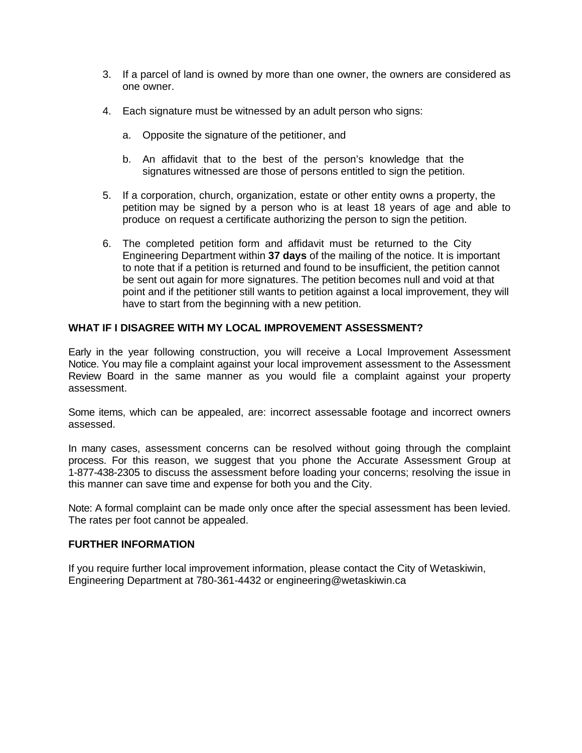- 3. If a parcel of land is owned by more than one owner, the owners are considered as one owner.
- 4. Each signature must be witnessed by an adult person who signs:
	- a. Opposite the signature of the petitioner, and
	- b. An affidavit that to the best of the person's knowledge that the signatures witnessed are those of persons entitled to sign the petition.
- 5. If a corporation, church, organization, estate or other entity owns a property, the petition may be signed by a person who is at least 18 years of age and able to produce on request a certificate authorizing the person to sign the petition.
- 6. The completed petition form and affidavit must be returned to the City Engineering Department within **37 days** of the mailing of the notice. It is important to note that if a petition is returned and found to be insufficient, the petition cannot be sent out again for more signatures. The petition becomes null and void at that point and if the petitioner still wants to petition against a local improvement, they will have to start from the beginning with a new petition.

# **WHAT IF I DISAGREE WITH MY LOCAL IMPROVEMENT ASSESSMENT?**

Early in the year following construction, you will receive a Local Improvement Assessment Notice. You may file a complaint against your local improvement assessment to the Assessment Review Board in the same manner as you would file a complaint against your property assessment.

Some items, which can be appealed, are: incorrect assessable footage and incorrect owners assessed.

In many cases, assessment concerns can be resolved without going through the complaint process. For this reason, we suggest that you phone the Accurate Assessment Group at 1-877-438-2305 to discuss the assessment before loading your concerns; resolving the issue in this manner can save time and expense for both you and the City.

Note: A formal complaint can be made only once after the special assessment has been levied. The rates per foot cannot be appealed.

# **FURTHER INFORMATION**

If you require further local improvement information, please contact the City of Wetaskiwin, Engineering Department at 780-361-4432 or engineering@wetaskiwin.ca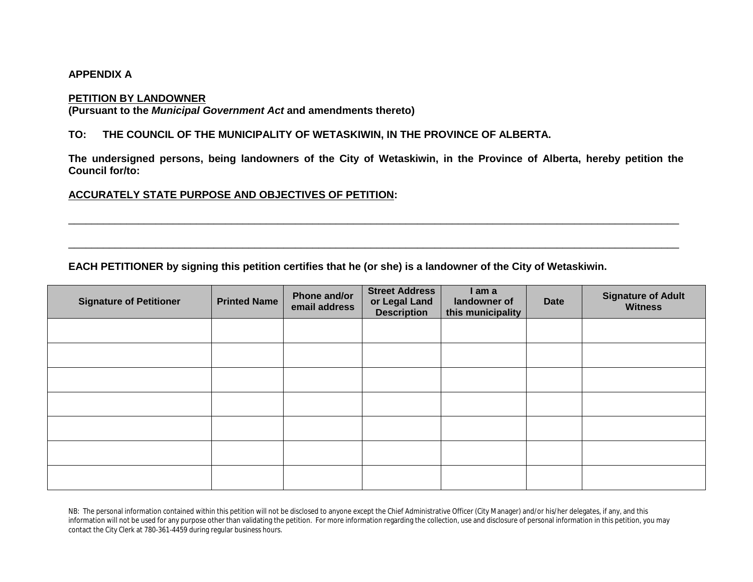#### **APPENDIX A**

#### **PETITION BY LANDOWNER**

**(Pursuant to the** *Municipal Government Act* **and amendments thereto)**

#### **TO: THE COUNCIL OF THE MUNICIPALITY OF WETASKIWIN, IN THE PROVINCE OF ALBERTA.**

The undersigned persons, being landowners of the City of Wetaskiwin, in the Province of Alberta, hereby petition the **Council for/to:**

\_\_\_\_\_\_\_\_\_\_\_\_\_\_\_\_\_\_\_\_\_\_\_\_\_\_\_\_\_\_\_\_\_\_\_\_\_\_\_\_\_\_\_\_\_\_\_\_\_\_\_\_\_\_\_\_\_\_\_\_\_\_\_\_\_\_\_\_\_\_\_\_\_\_\_\_\_\_\_\_\_\_\_\_\_\_\_\_\_\_\_\_\_\_\_\_\_\_\_\_\_\_\_\_\_

\_\_\_\_\_\_\_\_\_\_\_\_\_\_\_\_\_\_\_\_\_\_\_\_\_\_\_\_\_\_\_\_\_\_\_\_\_\_\_\_\_\_\_\_\_\_\_\_\_\_\_\_\_\_\_\_\_\_\_\_\_\_\_\_\_\_\_\_\_\_\_\_\_\_\_\_\_\_\_\_\_\_\_\_\_\_\_\_\_\_\_\_\_\_\_\_\_\_\_\_\_\_\_\_\_

# **ACCURATELY STATE PURPOSE AND OBJECTIVES OF PETITION:**

# **EACH PETITIONER by signing this petition certifies that he (or she) is a landowner of the City of Wetaskiwin.**

| <b>Signature of Petitioner</b> | <b>Printed Name</b> | Phone and/or<br>email address | <b>Street Address</b><br>or Legal Land<br><b>Description</b> | I am a<br>landowner of<br>this municipality | <b>Date</b> | <b>Signature of Adult</b><br><b>Witness</b> |
|--------------------------------|---------------------|-------------------------------|--------------------------------------------------------------|---------------------------------------------|-------------|---------------------------------------------|
|                                |                     |                               |                                                              |                                             |             |                                             |
|                                |                     |                               |                                                              |                                             |             |                                             |
|                                |                     |                               |                                                              |                                             |             |                                             |
|                                |                     |                               |                                                              |                                             |             |                                             |
|                                |                     |                               |                                                              |                                             |             |                                             |
|                                |                     |                               |                                                              |                                             |             |                                             |
|                                |                     |                               |                                                              |                                             |             |                                             |

NB: The personal information contained within this petition will not be disclosed to anyone except the Chief Administrative Officer (City Manager) and/or his/her delegates, if any, and this information will not be used for any purpose other than validating the petition. For more information regarding the collection, use and disclosure of personal information in this petition, you may contact the City Clerk at 780-361-4459 during regular business hours.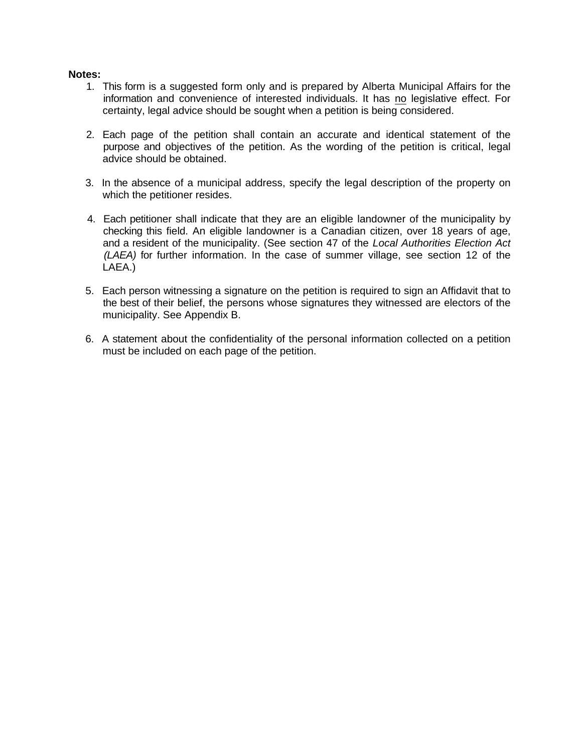# **Notes:**

- 1. This form is a suggested form only and is prepared by Alberta Municipal Affairs for the information and convenience of interested individuals. It has no legislative effect. For certainty, legal advice should be sought when a petition is being considered.
- 2. Each page of the petition shall contain an accurate and identical statement of the purpose and objectives of the petition. As the wording of the petition is critical, legal advice should be obtained.
- 3. In the absence of a municipal address, specify the legal description of the property on which the petitioner resides.
- 4. Each petitioner shall indicate that they are an eligible landowner of the municipality by checking this field. An eligible landowner is a Canadian citizen, over 18 years of age, and a resident of the municipality. (See section 47 of the *Local Authorities Election Act (LAEA)* for further information. In the case of summer village, see section 12 of the LAEA.)
- 5. Each person witnessing a signature on the petition is required to sign an Affidavit that to the best of their belief, the persons whose signatures they witnessed are electors of the municipality. See Appendix B.
- 6. A statement about the confidentiality of the personal information collected on a petition must be included on each page of the petition.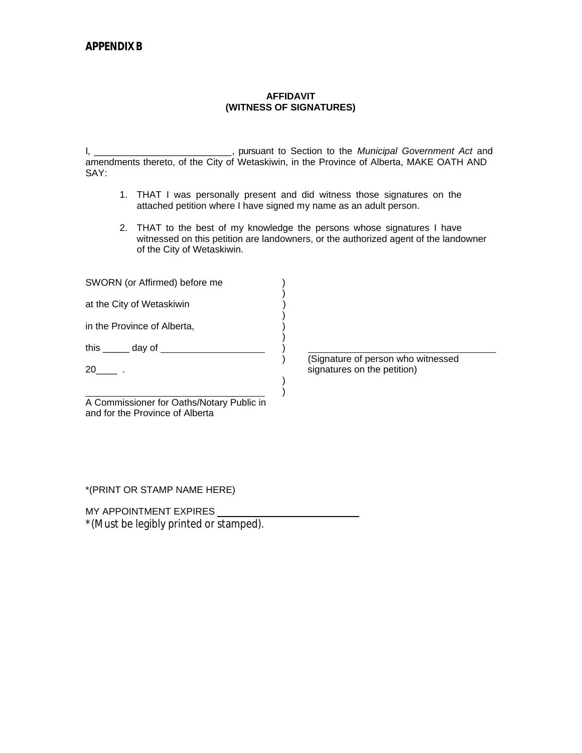#### **AFFIDAVIT (WITNESS OF SIGNATURES)**

I, \_\_\_\_\_\_\_\_\_\_\_\_\_\_\_\_\_\_\_\_\_\_\_\_\_\_, pursuant to Section to the *Municipal Government Act* and amendments thereto, of the City of Wetaskiwin, in the Province of Alberta, MAKE OATH AND SAY:

- 1. THAT I was personally present and did witness those signatures on the attached petition where I have signed my name as an adult person.
- 2. THAT to the best of my knowledge the persons whose signatures I have witnessed on this petition are landowners, or the authorized agent of the landowner of the City of Wetaskiwin.

| SWORN (or Affirmed) before me                                                |                                                                   |
|------------------------------------------------------------------------------|-------------------------------------------------------------------|
| at the City of Wetaskiwin                                                    |                                                                   |
| in the Province of Alberta,                                                  |                                                                   |
| this <u>______</u> day of                                                    |                                                                   |
| 20                                                                           | (Signature of person who witnessed<br>signatures on the petition) |
|                                                                              |                                                                   |
| A Commissioner for Oaths/Notary Public in<br>and for the Province of Alberta |                                                                   |

\*(PRINT OR STAMP NAME HERE)

MY APPOINTMENT EXPIRES \_\_\_

\*(Must be legibly printed or stamped).